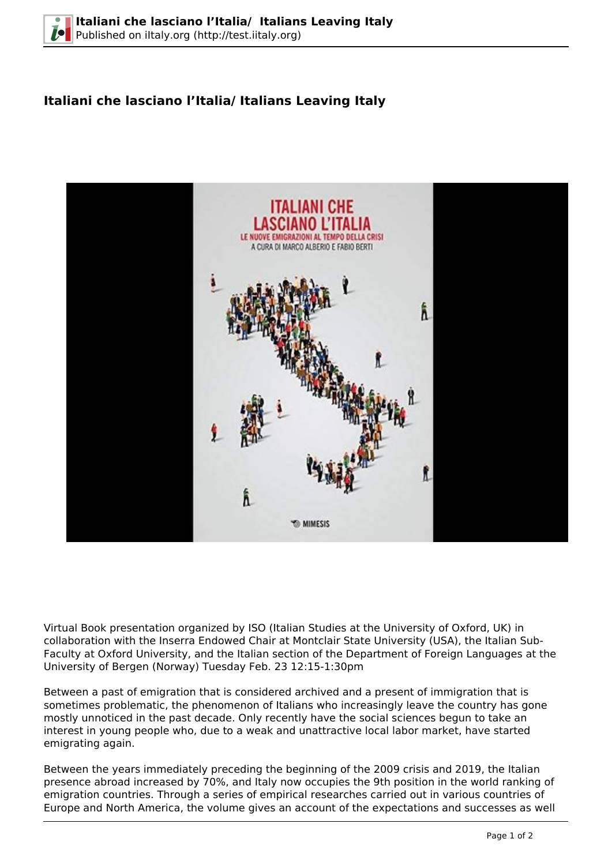## **Italiani che lasciano l'Italia/ Italians Leaving Italy**



Virtual Book presentation organized by ISO (Italian Studies at the University of Oxford, UK) in collaboration with the Inserra Endowed Chair at Montclair State University (USA), the Italian Sub-Faculty at Oxford University, and the Italian section of the Department of Foreign Languages at the University of Bergen (Norway) Tuesday Feb. 23 12:15-1:30pm

Between a past of emigration that is considered archived and a present of immigration that is sometimes problematic, the phenomenon of Italians who increasingly leave the country has gone mostly unnoticed in the past decade. Only recently have the social sciences begun to take an interest in young people who, due to a weak and unattractive local labor market, have started emigrating again.

Between the years immediately preceding the beginning of the 2009 crisis and 2019, the Italian presence abroad increased by 70%, and Italy now occupies the 9th position in the world ranking of emigration countries. Through a series of empirical researches carried out in various countries of Europe and North America, the volume gives an account of the expectations and successes as well